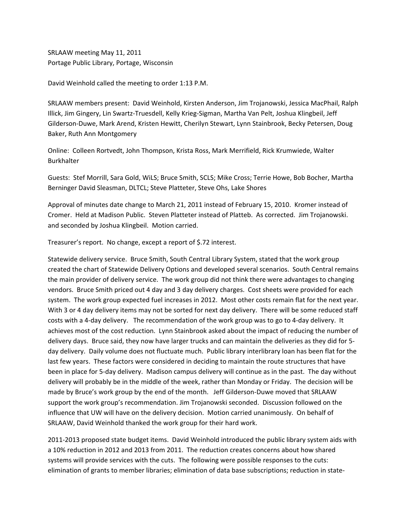SRLAAW meeting May 11, 2011 Portage Public Library, Portage, Wisconsin

David Weinhold called the meeting to order 1:13 P.M.

SRLAAW members present: David Weinhold, Kirsten Anderson, Jim Trojanowski, Jessica MacPhail, Ralph Illick, Jim Gingery, Lin Swartz‐Truesdell, Kelly Krieg‐Sigman, Martha Van Pelt, Joshua Klingbeil, Jeff Gilderson‐Duwe, Mark Arend, Kristen Hewitt, Cherilyn Stewart, Lynn Stainbrook, Becky Petersen, Doug Baker, Ruth Ann Montgomery

Online: Colleen Rortvedt, John Thompson, Krista Ross, Mark Merrifield, Rick Krumwiede, Walter Burkhalter

Guests: Stef Morrill, Sara Gold, WiLS; Bruce Smith, SCLS; Mike Cross; Terrie Howe, Bob Bocher, Martha Berninger David Sleasman, DLTCL; Steve Platteter, Steve Ohs, Lake Shores

Approval of minutes date change to March 21, 2011 instead of February 15, 2010. Kromer instead of Cromer. Held at Madison Public. Steven Platteter instead of Platteb. As corrected. Jim Trojanowski. and seconded by Joshua Klingbeil. Motion carried.

Treasurer's report. No change, except a report of \$.72 interest.

Statewide delivery service. Bruce Smith, South Central Library System, stated that the work group created the chart of Statewide Delivery Options and developed several scenarios. South Central remains the main provider of delivery service. The work group did not think there were advantages to changing vendors. Bruce Smith priced out 4 day and 3 day delivery charges. Cost sheets were provided for each system. The work group expected fuel increases in 2012. Most other costs remain flat for the next year. With 3 or 4 day delivery items may not be sorted for next day delivery. There will be some reduced staff costs with a 4‐day delivery. The recommendation of the work group was to go to 4‐day delivery. It achieves most of the cost reduction. Lynn Stainbrook asked about the impact of reducing the number of delivery days. Bruce said, they now have larger trucks and can maintain the deliveries as they did for 5‐ day delivery. Daily volume does not fluctuate much. Public library interlibrary loan has been flat for the last few years. These factors were considered in deciding to maintain the route structures that have been in place for 5‐day delivery. Madison campus delivery will continue as in the past. The day without delivery will probably be in the middle of the week, rather than Monday or Friday. The decision will be made by Bruce's work group by the end of the month. Jeff Gilderson-Duwe moved that SRLAAW support the work group's recommendation. Jim Trojanowski seconded. Discussion followed on the influence that UW will have on the delivery decision. Motion carried unanimously. On behalf of SRLAAW, David Weinhold thanked the work group for their hard work.

2011‐2013 proposed state budget items. David Weinhold introduced the public library system aids with a 10% reduction in 2012 and 2013 from 2011. The reduction creates concerns about how shared systems will provide services with the cuts. The following were possible responses to the cuts: elimination of grants to member libraries; elimination of data base subscriptions; reduction in state‐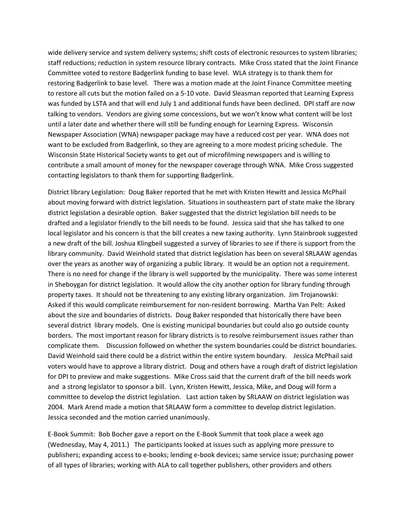wide delivery service and system delivery systems; shift costs of electronic resources to system libraries; staff reductions; reduction in system resource library contracts. Mike Cross stated that the Joint Finance Committee voted to restore Badgerlink funding to base level. WLA strategy is to thank them for restoring Badgerlink to base level. There was a motion made at the Joint Finance Committee meeting to restore all cuts but the motion failed on a 5‐10 vote. David Sleasman reported that Learning Express was funded by LSTA and that will end July 1 and additional funds have been declined. DPI staff are now talking to vendors. Vendors are giving some concessions, but we won't know what content will be lost until a later date and whether there will still be funding enough for Learning Express. Wisconsin Newspaper Association (WNA) newspaper package may have a reduced cost per year. WNA does not want to be excluded from Badgerlink, so they are agreeing to a more modest pricing schedule. The Wisconsin State Historical Society wants to get out of microfilming newspapers and is willing to contribute a small amount of money for the newspaper coverage through WNA. Mike Cross suggested contacting legislators to thank them for supporting Badgerlink.

District library Legislation: Doug Baker reported that he met with Kristen Hewitt and Jessica McPhail about moving forward with district legislation. Situations in southeastern part of state make the library district legislation a desirable option. Baker suggested that the district legislation bill needs to be drafted and a legislator friendly to the bill needs to be found. Jessica said that she has talked to one local legislator and his concern is that the bill creates a new taxing authority. Lynn Stainbrook suggested a new draft of the bill. Joshua Klingbeil suggested a survey of libraries to see if there is support from the library community. David Weinhold stated that district legislation has been on several SRLAAW agendas over the years as another way of organizing a public library. It would be an option not a requirement. There is no need for change if the library is well supported by the municipality. There was some interest in Sheboygan for district legislation. It would allow the city another option for library funding through property taxes. It should not be threatening to any existing library organization. Jim Trojanowski: Asked if this would complicate reimbursement for non‐resident borrowing. Martha Van Pelt: Asked about the size and boundaries of districts. Doug Baker responded that historically there have been several district library models. One is existing municipal boundaries but could also go outside county borders. The most important reason for library districts is to resolve reimbursement issues rather than complicate them. Discussion followed on whether the system boundaries could be district boundaries. David Weinhold said there could be a district within the entire system boundary. Jessica McPhail said voters would have to approve a library district. Doug and others have a rough draft of district legislation for DPI to preview and make suggestions. Mike Cross said that the current draft of the bill needs work and a strong legislator to sponsor a bill. Lynn, Kristen Hewitt, Jessica, Mike, and Doug will form a committee to develop the district legislation. Last action taken by SRLAAW on district legislation was 2004. Mark Arend made a motion that SRLAAW form a committee to develop district legislation. Jessica seconded and the motion carried unanimously.

E‐Book Summit: Bob Bocher gave a report on the E‐Book Summit that took place a week ago (Wednesday, May 4, 2011.) The participants looked at issues such as applying more pressure to publishers; expanding access to e‐books; lending e‐book devices; same service issue; purchasing power of all types of libraries; working with ALA to call together publishers, other providers and others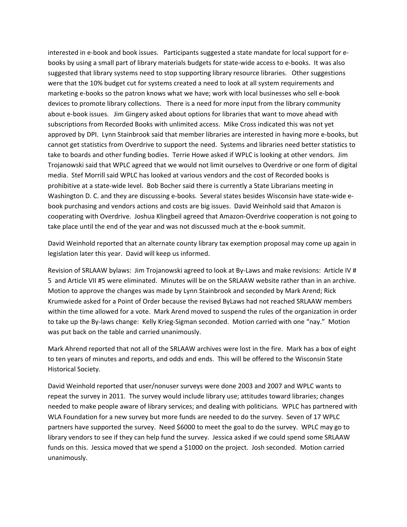interested in e-book and book issues. Participants suggested a state mandate for local support for ebooks by using a small part of library materials budgets for state‐wide access to e‐books. It was also suggested that library systems need to stop supporting library resource libraries. Other suggestions were that the 10% budget cut for systems created a need to look at all system requirements and marketing e‐books so the patron knows what we have; work with local businesses who sell e‐book devices to promote library collections. There is a need for more input from the library community about e-book issues. Jim Gingery asked about options for libraries that want to move ahead with subscriptions from Recorded Books with unlimited access. Mike Cross indicated this was not yet approved by DPI. Lynn Stainbrook said that member libraries are interested in having more e‐books, but cannot get statistics from Overdrive to support the need. Systems and libraries need better statistics to take to boards and other funding bodies. Terrie Howe asked if WPLC is looking at other vendors. Jim Trojanowski said that WPLC agreed that we would not limit ourselves to Overdrive or one form of digital media. Stef Morrill said WPLC has looked at various vendors and the cost of Recorded books is prohibitive at a state‐wide level. Bob Bocher said there is currently a State Librarians meeting in Washington D. C. and they are discussing e-books. Several states besides Wisconsin have state-wide ebook purchasing and vendors actions and costs are big issues. David Weinhold said that Amazon is cooperating with Overdrive. Joshua Klingbeil agreed that Amazon‐Overdrive cooperation is not going to take place until the end of the year and was not discussed much at the e‐book summit.

David Weinhold reported that an alternate county library tax exemption proposal may come up again in legislation later this year. David will keep us informed.

Revision of SRLAAW bylaws: Jim Trojanowski agreed to look at By-Laws and make revisions: Article IV # 5 and Article VII #5 were eliminated. Minutes will be on the SRLAAW website rather than in an archive. Motion to approve the changes was made by Lynn Stainbrook and seconded by Mark Arend; Rick Krumwiede asked for a Point of Order because the revised ByLaws had not reached SRLAAW members within the time allowed for a vote. Mark Arend moved to suspend the rules of the organization in order to take up the By-laws change: Kelly Krieg-Sigman seconded. Motion carried with one "nay." Motion was put back on the table and carried unanimously.

Mark Ahrend reported that not all of the SRLAAW archives were lost in the fire. Mark has a box of eight to ten years of minutes and reports, and odds and ends. This will be offered to the Wisconsin State Historical Society.

David Weinhold reported that user/nonuser surveys were done 2003 and 2007 and WPLC wants to repeat the survey in 2011. The survey would include library use; attitudes toward libraries; changes needed to make people aware of library services; and dealing with politicians. WPLC has partnered with WLA Foundation for a new survey but more funds are needed to do the survey. Seven of 17 WPLC partners have supported the survey. Need \$6000 to meet the goal to do the survey. WPLC may go to library vendors to see if they can help fund the survey. Jessica asked if we could spend some SRLAAW funds on this. Jessica moved that we spend a \$1000 on the project. Josh seconded. Motion carried unanimously.